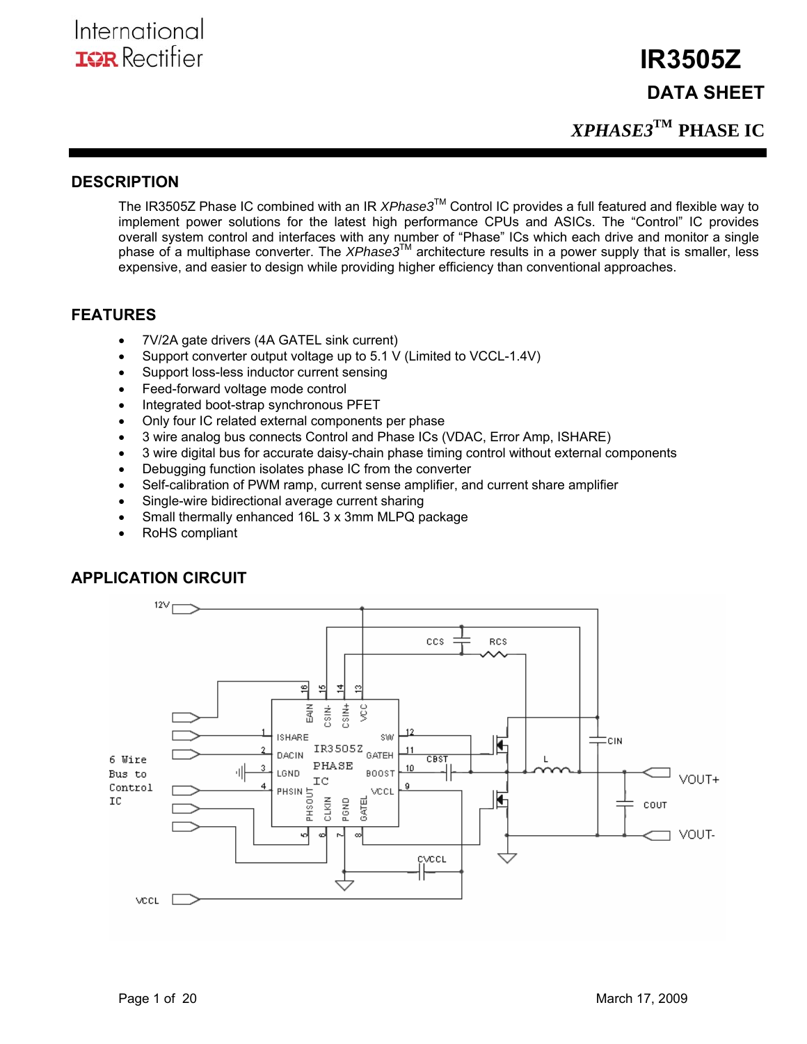**DATA SHEET** 

 **IR3505Z** 

*XPHASE3***TM PHASE IC** 

## **DESCRIPTION**

The IR3505Z Phase IC combined with an IR *XPhase3*TM Control IC provides a full featured and flexible way to implement power solutions for the latest high performance CPUs and ASICs. The "Control" IC provides overall system control and interfaces with any number of "Phase" ICs which each drive and monitor a single phase of a multiphase converter. The *XPhase3*™ architecture results in a power supply that is smaller, less expensive, and easier to design while providing higher efficiency than conventional approaches.

## **FEATURES**

- 7V/2A gate drivers (4A GATEL sink current)
- Support converter output voltage up to 5.1 V (Limited to VCCL-1.4V)
- Support loss-less inductor current sensing
- Feed-forward voltage mode control
- Integrated boot-strap synchronous PFET
- Only four IC related external components per phase
- 3 wire analog bus connects Control and Phase ICs (VDAC, Error Amp, ISHARE)
- 3 wire digital bus for accurate daisy-chain phase timing control without external components
- Debugging function isolates phase IC from the converter
- Self-calibration of PWM ramp, current sense amplifier, and current share amplifier
- Single-wire bidirectional average current sharing
- Small thermally enhanced 16L 3 x 3mm MLPQ package
- RoHS compliant

## **APPLICATION CIRCUIT**

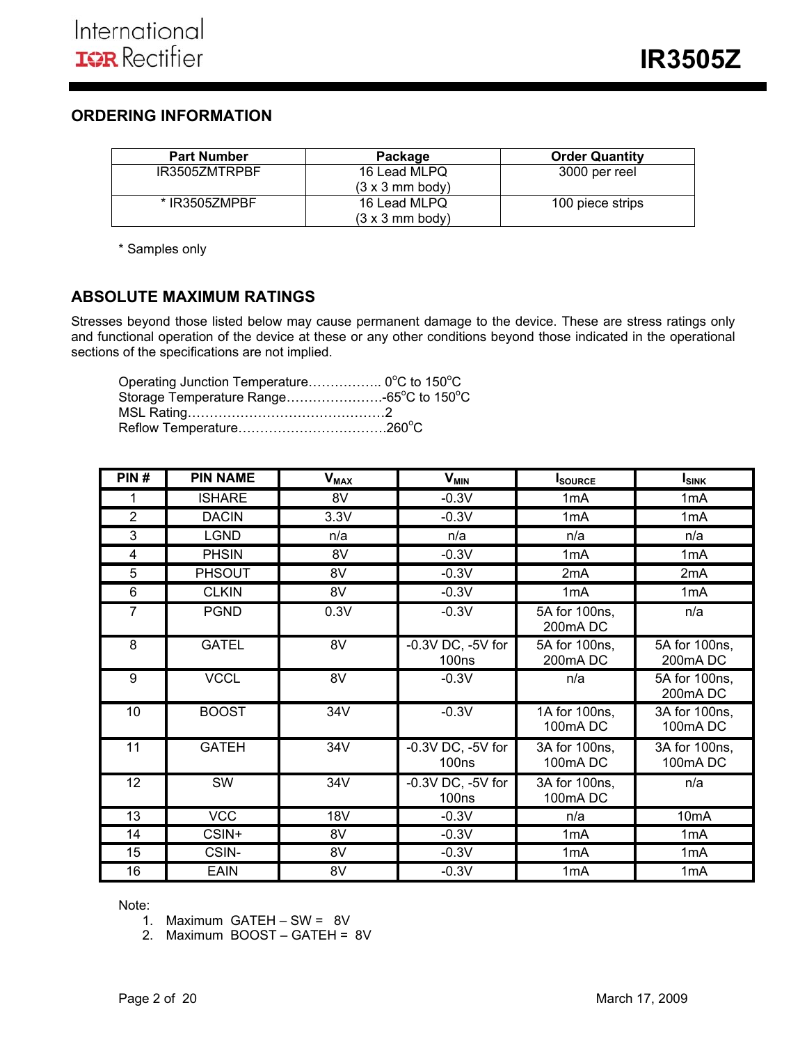## **ORDERING INFORMATION**

| <b>Part Number</b> | Package                        | <b>Order Quantity</b> |
|--------------------|--------------------------------|-----------------------|
| IR3505ZMTRPBF      | 16 Lead MLPQ                   | 3000 per reel         |
|                    | $(3 \times 3 \text{ mm}$ body) |                       |
| * IR3505ZMPBF      | 16 Lead MLPQ                   | 100 piece strips      |
|                    | $(3 \times 3 \text{ mm}$ body) |                       |

\* Samples only

## **ABSOLUTE MAXIMUM RATINGS**

Stresses beyond those listed below may cause permanent damage to the device. These are stress ratings only and functional operation of the device at these or any other conditions beyond those indicated in the operational sections of the specifications are not implied.

| Operating Junction Temperature 0°C to 150°C |  |
|---------------------------------------------|--|
| Storage Temperature Range-65°C to 150°C     |  |
|                                             |  |
|                                             |  |

| PIN#           | <b>PIN NAME</b> | $V_{MAX}$       | $V_{MIN}$                                  | Isource                  | <b>ISINK</b>             |
|----------------|-----------------|-----------------|--------------------------------------------|--------------------------|--------------------------|
|                | <b>ISHARE</b>   | 8V              | $-0.3V$                                    | 1 <sub>m</sub> A         | 1 <sub>m</sub> A         |
| $\overline{2}$ | <b>DACIN</b>    | 3.3V            | $-0.3V$                                    | 1mA                      | 1 <sub>m</sub> A         |
| 3              | <b>LGND</b>     | n/a             | n/a                                        | n/a                      | n/a                      |
| 4              | <b>PHSIN</b>    | 8V              | $-0.3V$                                    | 1mA                      | 1 <sub>m</sub> A         |
| 5              | <b>PHSOUT</b>   | 8V              | $-0.3V$                                    | 2 <sub>m</sub> A         | 2 <sub>m</sub> A         |
| 6              | <b>CLKIN</b>    | 8V              | $-0.3V$                                    | 1 <sub>m</sub> A         | 1 <sub>m</sub> A         |
| $\overline{7}$ | <b>PGND</b>     | 0.3V            | $-0.3V$                                    | 5A for 100ns,<br>200mADC | n/a                      |
| 8              | <b>GATEL</b>    | $\overline{8V}$ | $-0.3V$ DC, $-5V$ for<br>100 <sub>ns</sub> | 5A for 100ns,<br>200mADC | 5A for 100ns,<br>200mADC |
| 9              | <b>VCCL</b>     | 8V              | $-0.3V$                                    | n/a                      | 5A for 100ns,<br>200mADC |
| 10             | <b>BOOST</b>    | 34V             | $-0.3V$                                    | 1A for 100ns,<br>100mADC | 3A for 100ns,<br>100mADC |
| 11             | <b>GATEH</b>    | 34V             | $-0.3V$ DC, $-5V$ for<br><b>100ns</b>      | 3A for 100ns,<br>100mADC | 3A for 100ns,<br>100mADC |
| 12             | SW              | 34V             | $-0.3V$ DC, $-5V$ for<br><b>100ns</b>      | 3A for 100ns,<br>100mADC | n/a                      |
| 13             | <b>VCC</b>      | 18V             | $-0.3V$                                    | n/a                      | 10 <sub>m</sub> A        |
| 14             | CSIN+           | 8V              | $-0.3V$                                    | 1 <sub>m</sub> A         | 1 <sub>m</sub> A         |
| 15             | CSIN-           | 8V              | $-0.3V$                                    | 1 <sub>m</sub> A         | 1 <sub>m</sub> A         |
| 16             | <b>EAIN</b>     | 8V              | $-0.3V$                                    | 1 <sub>m</sub> A         | 1 <sub>m</sub> A         |

Note:

- 1. Maximum GATEH SW = 8V
- 2. Maximum BOOST GATEH = 8V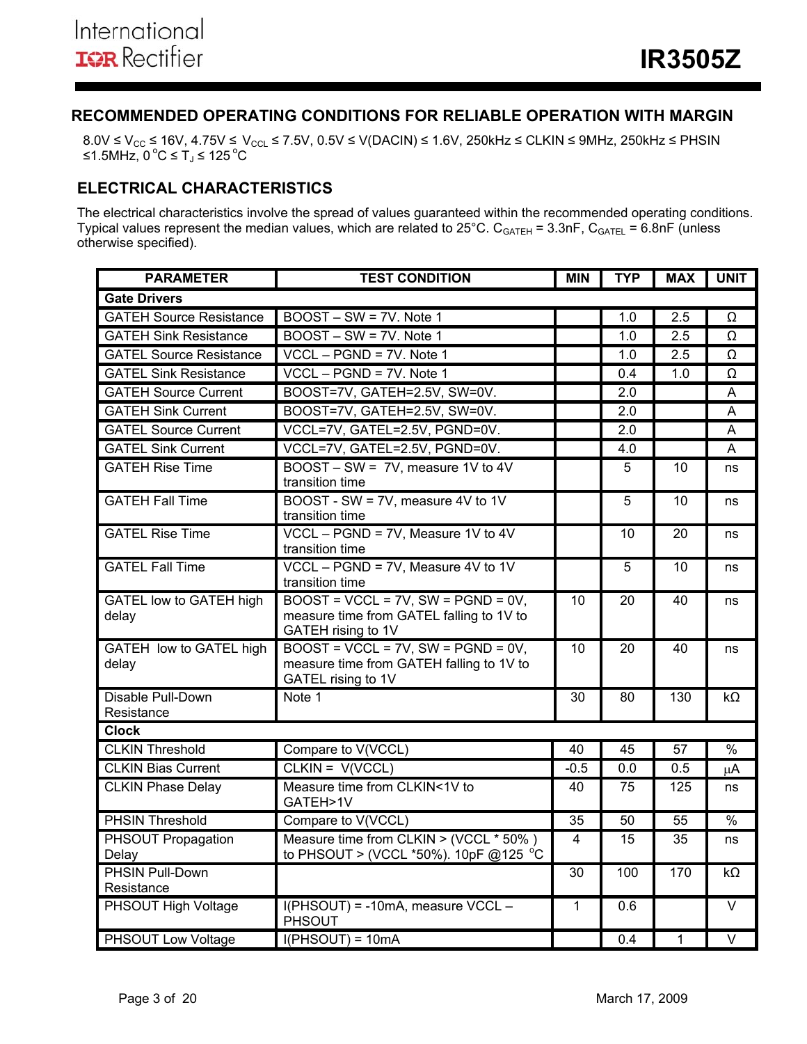## **RECOMMENDED OPERATING CONDITIONS FOR RELIABLE OPERATION WITH MARGIN**

8.0V ≤ V $_{\rm CC}$  ≤ 16V, 4.75V ≤ V $_{\rm CC L}$  ≤ 7.5V, 0.5V ≤ V(DACIN) ≤ 1.6V, 250kHz ≤ CLKIN ≤ 9MHz, 250kHz ≤ PHSIN ≤1.5MHz, 0 °C ≤  $T_J$  ≤ 125 °C

## **ELECTRICAL CHARACTERISTICS**

The electrical characteristics involve the spread of values guaranteed within the recommended operating conditions. Typical values represent the median values, which are related to  $25^{\circ}$ C. C<sub>GATEH</sub> = 3.3nF, C<sub>GATEL</sub> = 6.8nF (unless otherwise specified).

| <b>PARAMETER</b>                        | <b>TEST CONDITION</b>                                                                                      | <b>MIN</b>      | <b>TYP</b>      | <b>MAX</b>   | <b>UNIT</b>       |
|-----------------------------------------|------------------------------------------------------------------------------------------------------------|-----------------|-----------------|--------------|-------------------|
| <b>Gate Drivers</b>                     |                                                                                                            |                 |                 |              |                   |
| <b>GATEH Source Resistance</b>          | BOOST - SW = 7V. Note 1                                                                                    |                 | 1.0             | 2.5          | $\Omega$          |
| <b>GATEH Sink Resistance</b>            | $BOOST - SW = 7V$ . Note 1                                                                                 |                 | 1.0             | 2.5          | Ω                 |
| <b>GATEL Source Resistance</b>          | $VCCL - PGND = 7V$ . Note 1                                                                                |                 | 1.0             | 2.5          | Ω                 |
| <b>GATEL Sink Resistance</b>            | VCCL - PGND = 7V. Note 1                                                                                   |                 | 0.4             | 1.0          | Ω                 |
| <b>GATEH Source Current</b>             | BOOST=7V, GATEH=2.5V, SW=0V.                                                                               |                 | 2.0             |              | A                 |
| <b>GATEH Sink Current</b>               | BOOST=7V, GATEH=2.5V, SW=0V.                                                                               |                 | 2.0             |              | A                 |
| <b>GATEL Source Current</b>             | VCCL=7V, GATEL=2.5V, PGND=0V.                                                                              |                 | 2.0             |              | A                 |
| <b>GATEL Sink Current</b>               | VCCL=7V, GATEL=2.5V, PGND=0V.                                                                              |                 | 4.0             |              | A                 |
| <b>GATEH Rise Time</b>                  | BOOST - SW = 7V, measure 1V to 4V<br>transition time                                                       |                 | 5               | 10           | ns                |
| <b>GATEH Fall Time</b>                  | BOOST - SW = 7V, measure 4V to 1V<br>transition time                                                       |                 | 5               | 10           | ns                |
| <b>GATEL Rise Time</b>                  | VCCL - PGND = 7V, Measure 1V to 4V<br>transition time                                                      |                 | 10              | 20           | ns                |
| <b>GATEL Fall Time</b>                  | VCCL - PGND = 7V, Measure 4V to 1V<br>transition time                                                      |                 | 5               | 10           | ns                |
| <b>GATEL low to GATEH high</b><br>delay | $BOOST = VCCL = 7V$ , $SW = PGND = 0V$ ,<br>measure time from GATEL falling to 1V to<br>GATEH rising to 1V | 10              | 20              | 40           | ns                |
| GATEH low to GATEL high<br>delay        | $BOOST = VCCL = 7V$ , $SW = PGND = 0V$ .<br>measure time from GATEH falling to 1V to<br>GATEL rising to 1V | 10              | 20              | 40           | ns                |
| Disable Pull-Down<br>Resistance         | Note 1                                                                                                     | 30              | 80              | 130          | kΩ                |
| <b>Clock</b>                            |                                                                                                            |                 |                 |              |                   |
| <b>CLKIN Threshold</b>                  | Compare to V(VCCL)                                                                                         | $\overline{40}$ | $\overline{45}$ | 57           | $\frac{0}{0}$     |
| <b>CLKIN Bias Current</b>               | CLKIN = V(VCCL)                                                                                            | $-0.5$          | 0.0             | 0.5          | $\mu$ A           |
| <b>CLKIN Phase Delay</b>                | Measure time from CLKIN<1V to<br>GATEH>1V                                                                  | 40              | 75              | 125          | ns                |
| <b>PHSIN Threshold</b>                  | Compare to V(VCCL)                                                                                         | 35              | $\overline{50}$ | 55           | $\frac{0}{6}$     |
| PHSOUT Propagation<br>Delay             | Measure time from CLKIN > (VCCL * 50%)<br>to PHSOUT > (VCCL *50%). 10pF @125 °C                            | $\overline{4}$  | 15              | 35           | ns                |
| <b>PHSIN Pull-Down</b><br>Resistance    |                                                                                                            | 30              | 100             | 170          | $k\Omega$         |
| PHSOUT High Voltage                     | I(PHSOUT) = -10mA, measure VCCL -<br><b>PHSOUT</b>                                                         | $\mathbf{1}$    | 0.6             |              | $\vee$            |
| PHSOUT Low Voltage                      | $I(PHSOUT) = 10mA$                                                                                         |                 | 0.4             | $\mathbf{1}$ | $\overline{\vee}$ |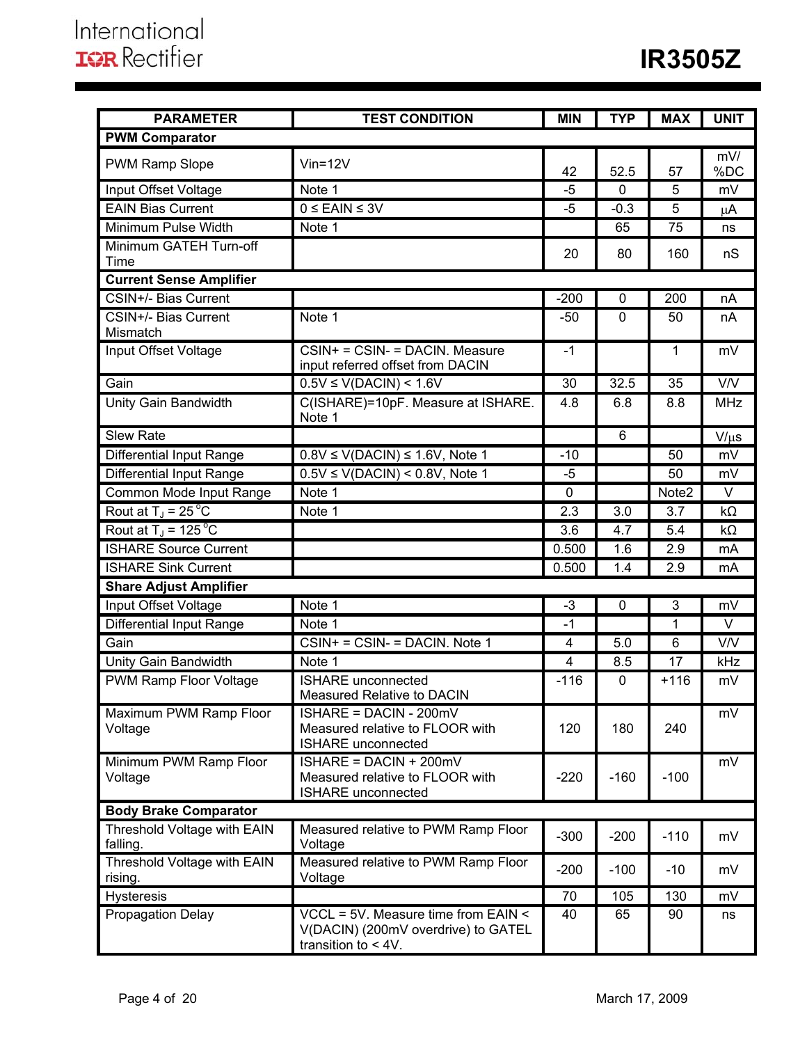| <b>PARAMETER</b>                        | <b>TEST CONDITION</b>                                                                                | <b>MIN</b>     | <b>TYP</b>  | <b>MAX</b> | <b>UNIT</b> |
|-----------------------------------------|------------------------------------------------------------------------------------------------------|----------------|-------------|------------|-------------|
| <b>PWM Comparator</b>                   |                                                                                                      |                |             |            |             |
| <b>PWM Ramp Slope</b>                   | $V$ in=12 $V$                                                                                        |                |             |            | mV/         |
|                                         |                                                                                                      | 42             | 52.5        | 57         | %DC         |
| Input Offset Voltage                    | Note 1                                                                                               | -5             | 0           | 5          | mV          |
| <b>EAIN Bias Current</b>                | $0 \leq$ EAIN $\leq 3V$                                                                              | $-5$           | $-0.3$      | 5          | $\mu$ A     |
| Minimum Pulse Width                     | Note 1                                                                                               |                | 65          | 75         | ns          |
| Minimum GATEH Turn-off<br>Time          |                                                                                                      | 20             | 80          | 160        | nS          |
| <b>Current Sense Amplifier</b>          |                                                                                                      |                |             |            |             |
| CSIN+/- Bias Current                    |                                                                                                      | $-200$         | $\mathbf 0$ | 200        | nA          |
| CSIN+/- Bias Current<br>Mismatch        | Note 1                                                                                               | $-50$          | $\mathbf 0$ | 50         | nA          |
| Input Offset Voltage                    | CSIN+ = CSIN- = DACIN. Measure<br>input referred offset from DACIN                                   | $-1$           |             | 1          | mV          |
| Gain                                    | $0.5V \le V(DACIN) < 1.6V$                                                                           | 30             | 32.5        | 35         | V/V         |
| Unity Gain Bandwidth                    | C(ISHARE)=10pF. Measure at ISHARE.<br>Note 1                                                         | 4.8            | 6.8         | 8.8        | <b>MHz</b>  |
| <b>Slew Rate</b>                        |                                                                                                      |                | 6           |            | $V/\mu s$   |
| <b>Differential Input Range</b>         | $0.8V \le V(DACIN) \le 1.6V$ , Note 1                                                                | $-10$          |             | 50         | mV          |
| <b>Differential Input Range</b>         | $0.5V \leq V(DACIN) \leq 0.8V$ , Note 1                                                              | $-5$           |             | 50         | mV          |
| Common Mode Input Range                 | Note 1                                                                                               | 0              |             | Note2      | V           |
| Rout at $T_J = 25^{\circ}C$             | Note 1                                                                                               | 2.3            | 3.0         | 3.7        | $k\Omega$   |
| Rout at $T_{\rm J}$ = 125 °C            |                                                                                                      | 3.6            | 4.7         | 5.4        | $k\Omega$   |
| <b>ISHARE Source Current</b>            |                                                                                                      | 0.500          | 1.6         | 2.9        | mA          |
| <b>ISHARE Sink Current</b>              |                                                                                                      | 0.500          | 1.4         | 2.9        | mA          |
| <b>Share Adjust Amplifier</b>           |                                                                                                      |                |             |            |             |
| Input Offset Voltage                    | Note 1                                                                                               | $-3$           | $\mathbf 0$ | 3          | mV          |
| Differential Input Range                | Note 1                                                                                               | $-1$           |             | 1          | $\vee$      |
| Gain                                    | $CSIN + = CSIN - = DACIN$ . Note 1                                                                   | 4              | $5.0\,$     | 6          | V/V         |
| <b>Unity Gain Bandwidth</b>             | Note 1                                                                                               | $\overline{4}$ | 8.5         | 17         | kHz         |
| PWM Ramp Floor Voltage                  | <b>ISHARE</b> unconnected<br>Measured Relative to DACIN                                              | $-116$         | 0           | $+116$     | mV          |
| Maximum PWM Ramp Floor<br>Voltage       | ISHARE = DACIN - 200mV<br>Measured relative to FLOOR with<br><b>ISHARE</b> unconnected               | 120            | 180         | 240        | mV          |
| Minimum PWM Ramp Floor<br>Voltage       | $ISHARE = DACIN + 200mV$<br>Measured relative to FLOOR with<br><b>ISHARE</b> unconnected             | $-220$         | $-160$      | $-100$     | mV          |
| <b>Body Brake Comparator</b>            |                                                                                                      |                |             |            |             |
| Threshold Voltage with EAIN<br>falling. | Measured relative to PWM Ramp Floor<br>Voltage                                                       | $-300$         | $-200$      | $-110$     | mV          |
| Threshold Voltage with EAIN<br>rising.  | Measured relative to PWM Ramp Floor<br>Voltage                                                       | $-200$         | $-100$      | $-10$      | mV          |
| <b>Hysteresis</b>                       |                                                                                                      | 70             | 105         | 130        | mV          |
| Propagation Delay                       | VCCL = 5V. Measure time from EAIN <<br>V(DACIN) (200mV overdrive) to GATEL<br>transition to $< 4V$ . | 40             | 65          | 90         | ns          |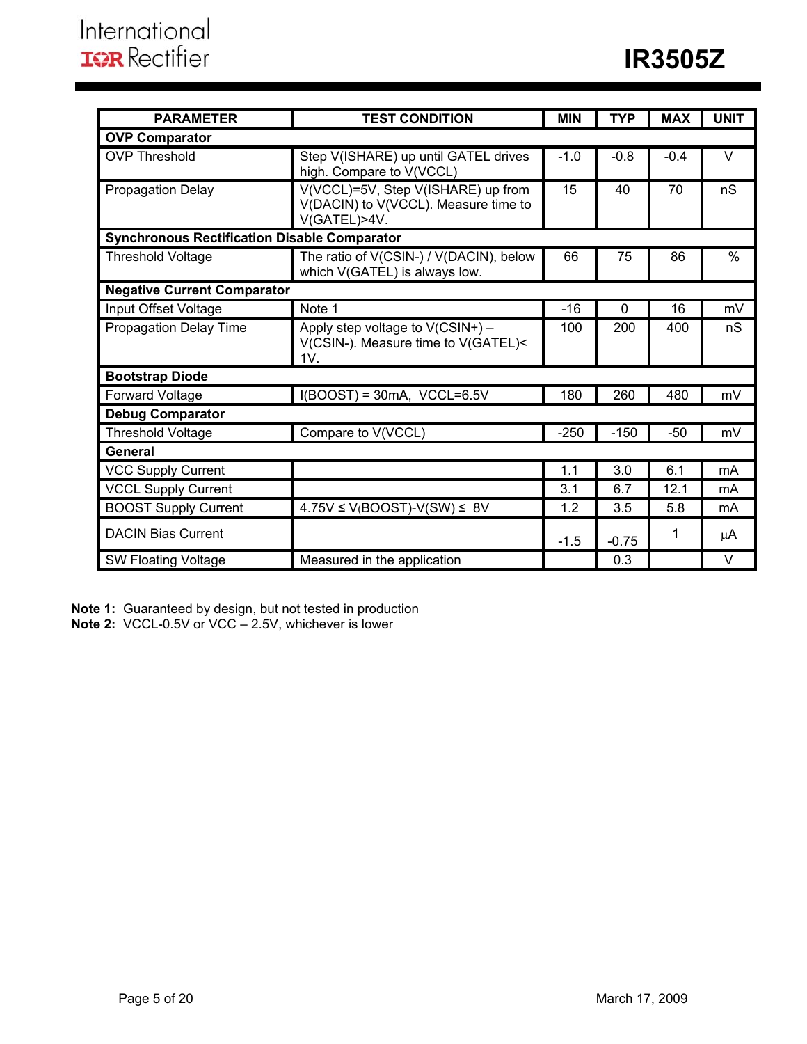| <b>PARAMETER</b>                                    | <b>TEST CONDITION</b>                                                                      | <b>MIN</b> | <b>TYP</b> | <b>MAX</b> | <b>UNIT</b>   |
|-----------------------------------------------------|--------------------------------------------------------------------------------------------|------------|------------|------------|---------------|
| <b>OVP Comparator</b>                               |                                                                                            |            |            |            |               |
| <b>OVP Threshold</b>                                | Step V(ISHARE) up until GATEL drives<br>high. Compare to V(VCCL)                           | $-1.0$     | $-0.8$     | $-0.4$     | $\vee$        |
| <b>Propagation Delay</b>                            | V(VCCL)=5V, Step V(ISHARE) up from<br>V(DACIN) to V(VCCL). Measure time to<br>V(GATEL)>4V. | 15         | 40         | 70         | nS            |
| <b>Synchronous Rectification Disable Comparator</b> |                                                                                            |            |            |            |               |
| <b>Threshold Voltage</b>                            | The ratio of V(CSIN-) / V(DACIN), below<br>which V(GATEL) is always low.                   | 66         | 75         | 86         | $\frac{0}{0}$ |
| <b>Negative Current Comparator</b>                  |                                                                                            |            |            |            |               |
| Input Offset Voltage                                | Note 1                                                                                     | $-16$      | $\Omega$   | 16         | mV            |
| <b>Propagation Delay Time</b>                       | Apply step voltage to V(CSIN+) -<br>V(CSIN-). Measure time to V(GATEL)<<br>1V.             | 100        | 200        | 400        | nS            |
| <b>Bootstrap Diode</b>                              |                                                                                            |            |            |            |               |
| Forward Voltage                                     | $I(BOOST) = 30mA$ , VCCL=6.5V                                                              | 180        | 260        | 480        | mV            |
| <b>Debug Comparator</b>                             |                                                                                            |            |            |            |               |
| <b>Threshold Voltage</b>                            | Compare to V(VCCL)                                                                         | $-250$     | $-150$     | $-50$      | mV            |
| General                                             |                                                                                            |            |            |            |               |
| <b>VCC Supply Current</b>                           |                                                                                            | 1.1        | 3.0        | 6.1        | mA            |
| <b>VCCL Supply Current</b>                          |                                                                                            | 3.1        | 6.7        | 12.1       | mA            |
| <b>BOOST Supply Current</b>                         | $4.75V \le V(BOOST)-V(SW) \le 8V$                                                          | 1.2        | 3.5        | 5.8        | mA            |
| <b>DACIN Bias Current</b>                           |                                                                                            | $-1.5$     | $-0.75$    | 1          | $\mu$ A       |
| <b>SW Floating Voltage</b>                          | Measured in the application                                                                |            | 0.3        |            | $\vee$        |

**Note 1:** Guaranteed by design, but not tested in production **Note 2:** VCCL-0.5V or VCC – 2.5V, whichever is lower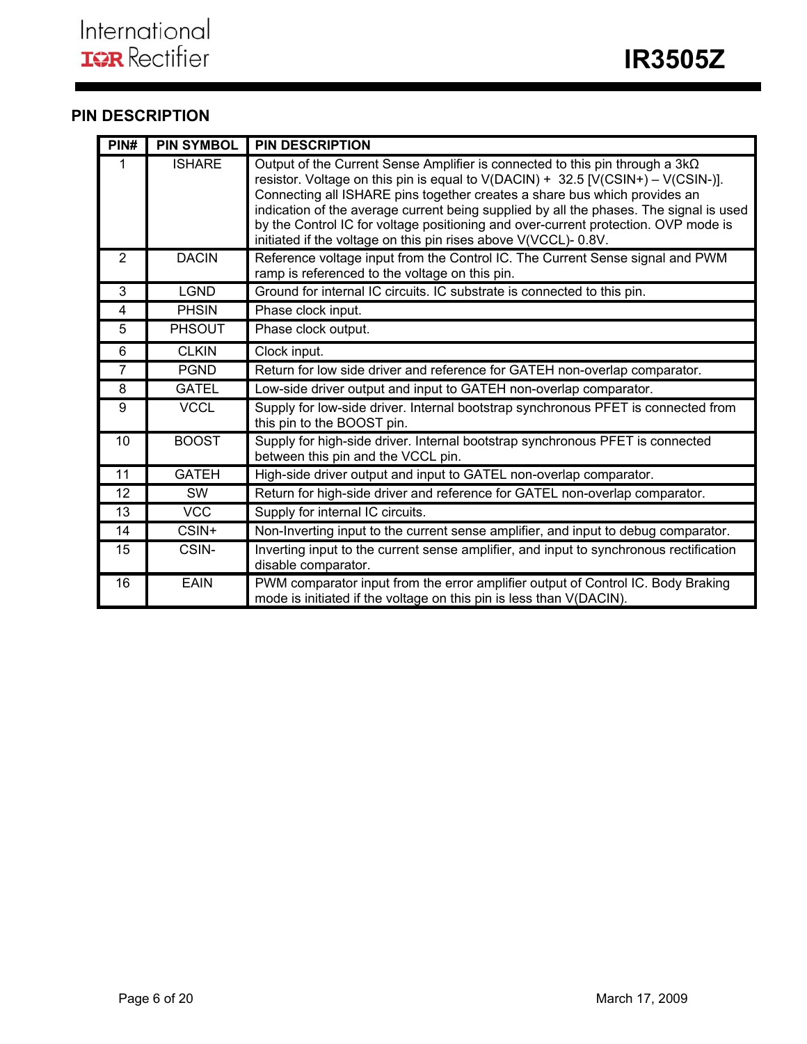# **PIN DESCRIPTION**

| PIN#           | <b>PIN SYMBOL</b> | <b>PIN DESCRIPTION</b>                                                                                                                                                                                                                                                                                                                                                                                                                                                                                   |
|----------------|-------------------|----------------------------------------------------------------------------------------------------------------------------------------------------------------------------------------------------------------------------------------------------------------------------------------------------------------------------------------------------------------------------------------------------------------------------------------------------------------------------------------------------------|
|                | <b>ISHARE</b>     | Output of the Current Sense Amplifier is connected to this pin through a $3k\Omega$<br>resistor. Voltage on this pin is equal to $V(DACIN) + 32.5 [V(CSIN+) - V(CSIN-)].$<br>Connecting all ISHARE pins together creates a share bus which provides an<br>indication of the average current being supplied by all the phases. The signal is used<br>by the Control IC for voltage positioning and over-current protection. OVP mode is<br>initiated if the voltage on this pin rises above V(VCCL)-0.8V. |
| 2              | <b>DACIN</b>      | Reference voltage input from the Control IC. The Current Sense signal and PWM<br>ramp is referenced to the voltage on this pin.                                                                                                                                                                                                                                                                                                                                                                          |
| 3              | <b>LGND</b>       | Ground for internal IC circuits. IC substrate is connected to this pin.                                                                                                                                                                                                                                                                                                                                                                                                                                  |
| $\overline{4}$ | <b>PHSIN</b>      | Phase clock input.                                                                                                                                                                                                                                                                                                                                                                                                                                                                                       |
| 5              | <b>PHSOUT</b>     | Phase clock output.                                                                                                                                                                                                                                                                                                                                                                                                                                                                                      |
| 6              | <b>CLKIN</b>      | Clock input.                                                                                                                                                                                                                                                                                                                                                                                                                                                                                             |
| $\overline{7}$ | <b>PGND</b>       | Return for low side driver and reference for GATEH non-overlap comparator.                                                                                                                                                                                                                                                                                                                                                                                                                               |
| 8              | <b>GATEL</b>      | Low-side driver output and input to GATEH non-overlap comparator.                                                                                                                                                                                                                                                                                                                                                                                                                                        |
| 9              | <b>VCCL</b>       | Supply for low-side driver. Internal bootstrap synchronous PFET is connected from<br>this pin to the BOOST pin.                                                                                                                                                                                                                                                                                                                                                                                          |
| 10             | <b>BOOST</b>      | Supply for high-side driver. Internal bootstrap synchronous PFET is connected<br>between this pin and the VCCL pin.                                                                                                                                                                                                                                                                                                                                                                                      |
| 11             | <b>GATEH</b>      | High-side driver output and input to GATEL non-overlap comparator.                                                                                                                                                                                                                                                                                                                                                                                                                                       |
| 12             | <b>SW</b>         | Return for high-side driver and reference for GATEL non-overlap comparator.                                                                                                                                                                                                                                                                                                                                                                                                                              |
| 13             | <b>VCC</b>        | Supply for internal IC circuits.                                                                                                                                                                                                                                                                                                                                                                                                                                                                         |
| 14             | CSIN+             | Non-Inverting input to the current sense amplifier, and input to debug comparator.                                                                                                                                                                                                                                                                                                                                                                                                                       |
| 15             | CSIN-             | Inverting input to the current sense amplifier, and input to synchronous rectification<br>disable comparator.                                                                                                                                                                                                                                                                                                                                                                                            |
| 16             | <b>EAIN</b>       | PWM comparator input from the error amplifier output of Control IC. Body Braking<br>mode is initiated if the voltage on this pin is less than V(DACIN).                                                                                                                                                                                                                                                                                                                                                  |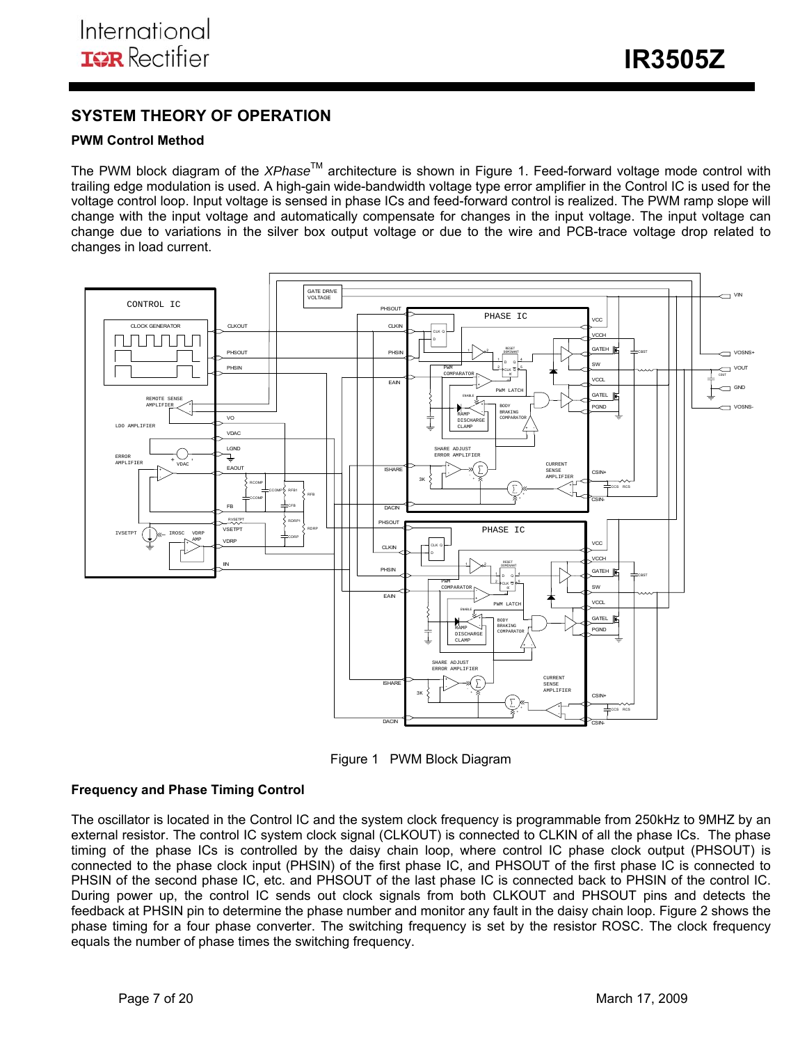**IR3505Z** 

## **SYSTEM THEORY OF OPERATION**

## **PWM Control Method**

The PWM block diagram of the *XPhase*TM architecture is shown in Figure 1. Feed-forward voltage mode control with trailing edge modulation is used. A high-gain wide-bandwidth voltage type error amplifier in the Control IC is used for the voltage control loop. Input voltage is sensed in phase ICs and feed-forward control is realized. The PWM ramp slope will change with the input voltage and automatically compensate for changes in the input voltage. The input voltage can change due to variations in the silver box output voltage or due to the wire and PCB-trace voltage drop related to changes in load current.



Figure 1 PWM Block Diagram

### **Frequency and Phase Timing Control**

The oscillator is located in the Control IC and the system clock frequency is programmable from 250kHz to 9MHZ by an external resistor. The control IC system clock signal (CLKOUT) is connected to CLKIN of all the phase ICs. The phase timing of the phase ICs is controlled by the daisy chain loop, where control IC phase clock output (PHSOUT) is connected to the phase clock input (PHSIN) of the first phase IC, and PHSOUT of the first phase IC is connected to PHSIN of the second phase IC, etc. and PHSOUT of the last phase IC is connected back to PHSIN of the control IC. During power up, the control IC sends out clock signals from both CLKOUT and PHSOUT pins and detects the feedback at PHSIN pin to determine the phase number and monitor any fault in the daisy chain loop. Figure 2 shows the phase timing for a four phase converter. The switching frequency is set by the resistor ROSC. The clock frequency equals the number of phase times the switching frequency.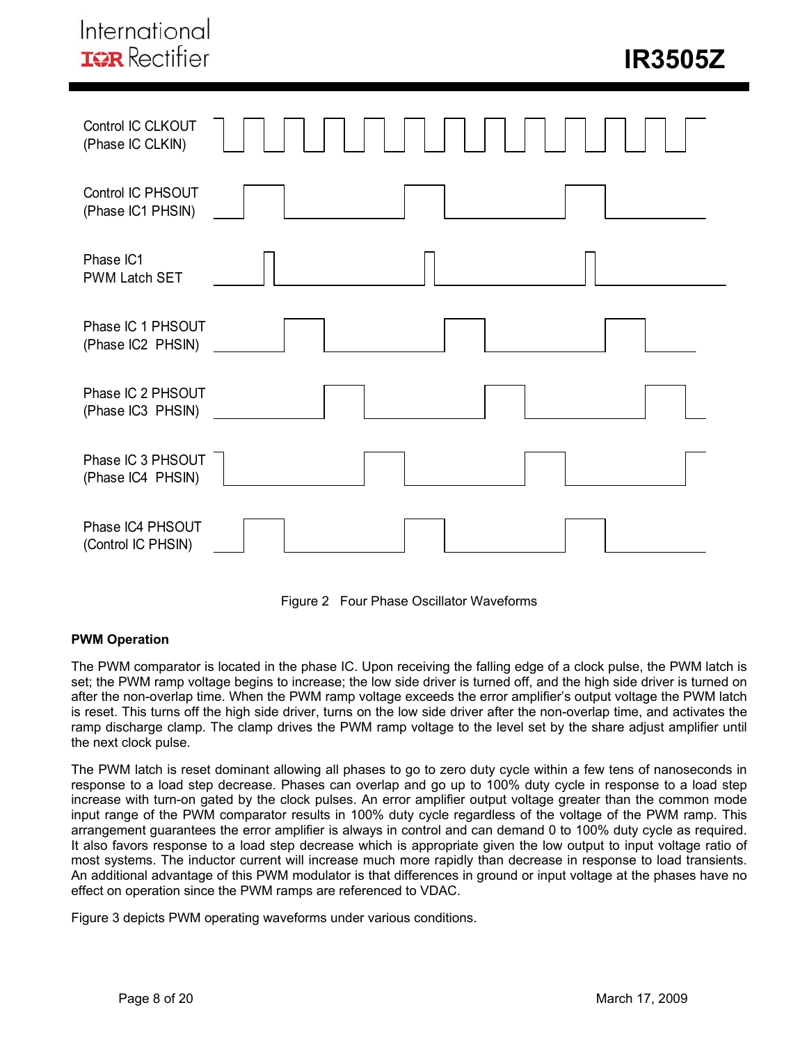



### **PWM Operation**

The PWM comparator is located in the phase IC. Upon receiving the falling edge of a clock pulse, the PWM latch is set; the PWM ramp voltage begins to increase; the low side driver is turned off, and the high side driver is turned on after the non-overlap time. When the PWM ramp voltage exceeds the error amplifier's output voltage the PWM latch is reset. This turns off the high side driver, turns on the low side driver after the non-overlap time, and activates the ramp discharge clamp. The clamp drives the PWM ramp voltage to the level set by the share adjust amplifier until the next clock pulse.

The PWM latch is reset dominant allowing all phases to go to zero duty cycle within a few tens of nanoseconds in response to a load step decrease. Phases can overlap and go up to 100% duty cycle in response to a load step increase with turn-on gated by the clock pulses. An error amplifier output voltage greater than the common mode input range of the PWM comparator results in 100% duty cycle regardless of the voltage of the PWM ramp. This arrangement guarantees the error amplifier is always in control and can demand 0 to 100% duty cycle as required. It also favors response to a load step decrease which is appropriate given the low output to input voltage ratio of most systems. The inductor current will increase much more rapidly than decrease in response to load transients. An additional advantage of this PWM modulator is that differences in ground or input voltage at the phases have no effect on operation since the PWM ramps are referenced to VDAC.

Figure 3 depicts PWM operating waveforms under various conditions.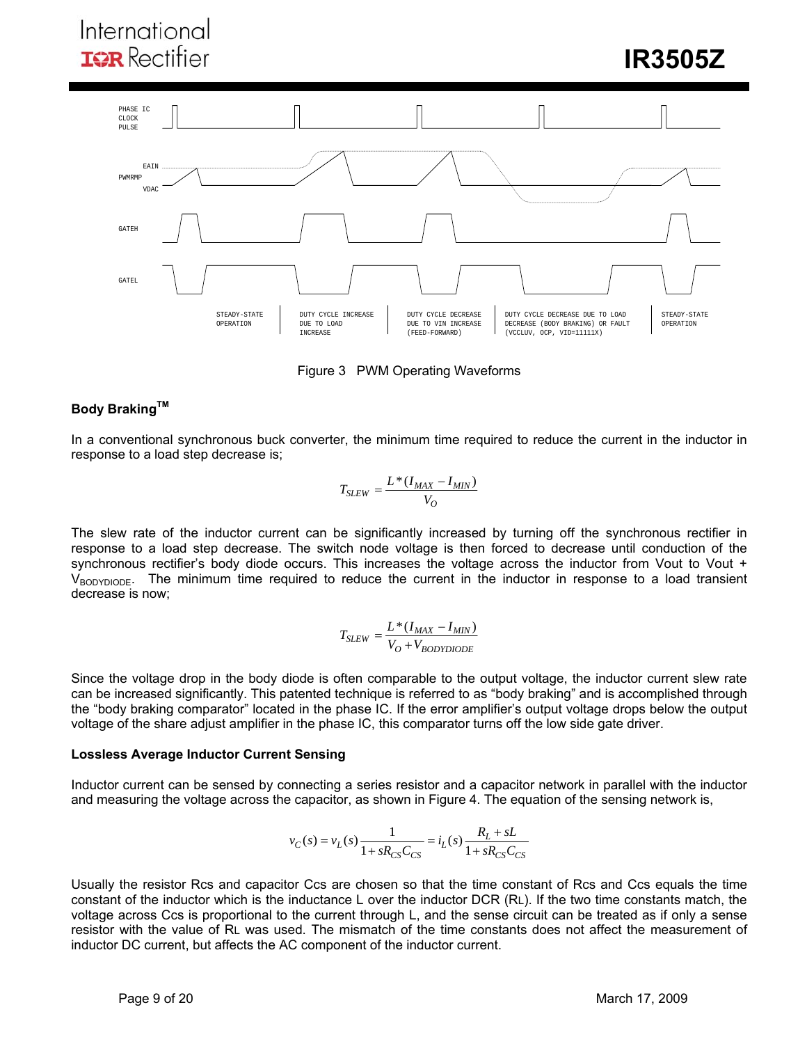

Figure 3 PWM Operating Waveforms

## **Body Braking™**

In a conventional synchronous buck converter, the minimum time required to reduce the current in the inductor in response to a load step decrease is;

$$
T_{SLEW} = \frac{L*(I_{MAX} - I_{MIN})}{V_O}
$$

The slew rate of the inductor current can be significantly increased by turning off the synchronous rectifier in response to a load step decrease. The switch node voltage is then forced to decrease until conduction of the synchronous rectifier's body diode occurs. This increases the voltage across the inductor from Vout to Vout +  $V_{\text{BODYDIODE}}$ . The minimum time required to reduce the current in the inductor in response to a load transient decrease is now;

$$
T_{SLEW} = \frac{L*(I_{MAX} - I_{MIN})}{V_O + V_{BODYDIODE}}
$$

Since the voltage drop in the body diode is often comparable to the output voltage, the inductor current slew rate can be increased significantly. This patented technique is referred to as "body braking" and is accomplished through the "body braking comparator" located in the phase IC. If the error amplifier's output voltage drops below the output voltage of the share adjust amplifier in the phase IC, this comparator turns off the low side gate driver.

### **Lossless Average Inductor Current Sensing**

Inductor current can be sensed by connecting a series resistor and a capacitor network in parallel with the inductor and measuring the voltage across the capacitor, as shown in Figure 4. The equation of the sensing network is,

$$
v_C(s) = v_L(s) \frac{1}{1 + sR_{CS}C_{CS}} = i_L(s) \frac{R_L + sL}{1 + sR_{CS}C_{CS}}
$$

Usually the resistor Rcs and capacitor Ccs are chosen so that the time constant of Rcs and Ccs equals the time constant of the inductor which is the inductance L over the inductor DCR (RL). If the two time constants match, the voltage across Ccs is proportional to the current through L, and the sense circuit can be treated as if only a sense resistor with the value of RL was used. The mismatch of the time constants does not affect the measurement of inductor DC current, but affects the AC component of the inductor current.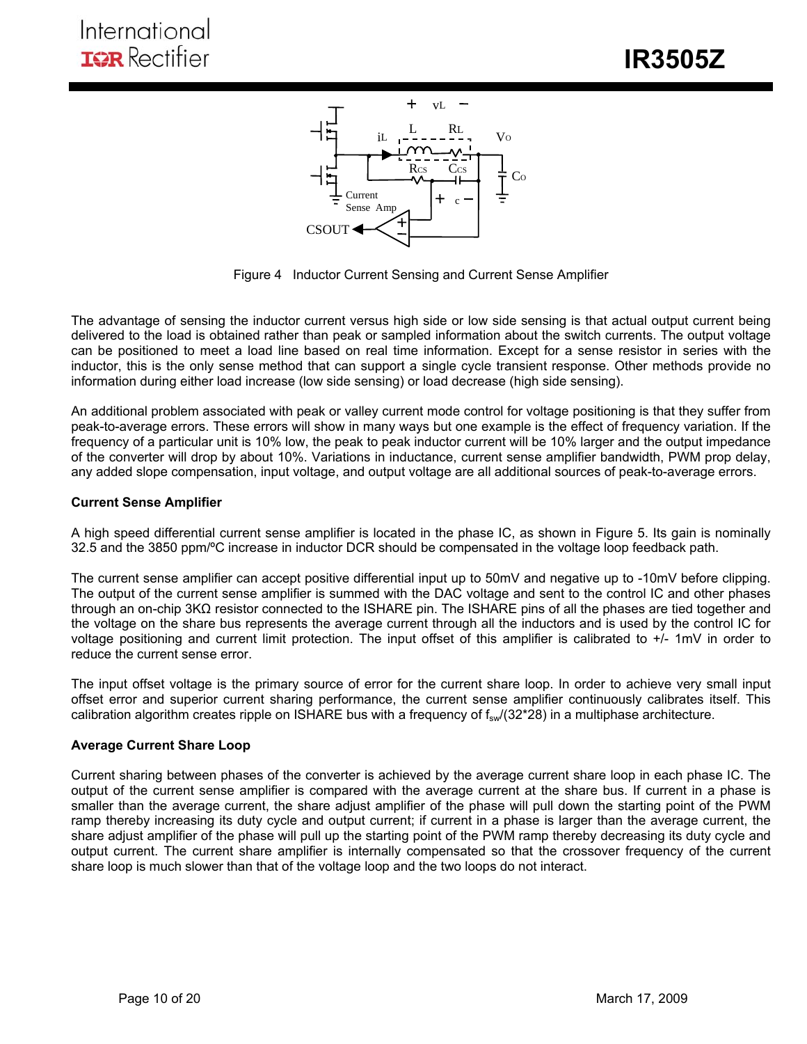

Figure 4 Inductor Current Sensing and Current Sense Amplifier

The advantage of sensing the inductor current versus high side or low side sensing is that actual output current being delivered to the load is obtained rather than peak or sampled information about the switch currents. The output voltage can be positioned to meet a load line based on real time information. Except for a sense resistor in series with the inductor, this is the only sense method that can support a single cycle transient response. Other methods provide no information during either load increase (low side sensing) or load decrease (high side sensing).

An additional problem associated with peak or valley current mode control for voltage positioning is that they suffer from peak-to-average errors. These errors will show in many ways but one example is the effect of frequency variation. If the frequency of a particular unit is 10% low, the peak to peak inductor current will be 10% larger and the output impedance of the converter will drop by about 10%. Variations in inductance, current sense amplifier bandwidth, PWM prop delay, any added slope compensation, input voltage, and output voltage are all additional sources of peak-to-average errors.

## **Current Sense Amplifier**

A high speed differential current sense amplifier is located in the phase IC, as shown in Figure 5. Its gain is nominally 32.5 and the 3850 ppm/ºC increase in inductor DCR should be compensated in the voltage loop feedback path.

The current sense amplifier can accept positive differential input up to 50mV and negative up to -10mV before clipping. The output of the current sense amplifier is summed with the DAC voltage and sent to the control IC and other phases through an on-chip 3KΩ resistor connected to the ISHARE pin. The ISHARE pins of all the phases are tied together and the voltage on the share bus represents the average current through all the inductors and is used by the control IC for voltage positioning and current limit protection. The input offset of this amplifier is calibrated to +/- 1mV in order to reduce the current sense error.

The input offset voltage is the primary source of error for the current share loop. In order to achieve very small input offset error and superior current sharing performance, the current sense amplifier continuously calibrates itself. This calibration algorithm creates ripple on ISHARE bus with a frequency of  $f_{sw}/(32*28)$  in a multiphase architecture.

### **Average Current Share Loop**

Current sharing between phases of the converter is achieved by the average current share loop in each phase IC. The output of the current sense amplifier is compared with the average current at the share bus. If current in a phase is smaller than the average current, the share adjust amplifier of the phase will pull down the starting point of the PWM ramp thereby increasing its duty cycle and output current; if current in a phase is larger than the average current, the share adjust amplifier of the phase will pull up the starting point of the PWM ramp thereby decreasing its duty cycle and output current. The current share amplifier is internally compensated so that the crossover frequency of the current share loop is much slower than that of the voltage loop and the two loops do not interact.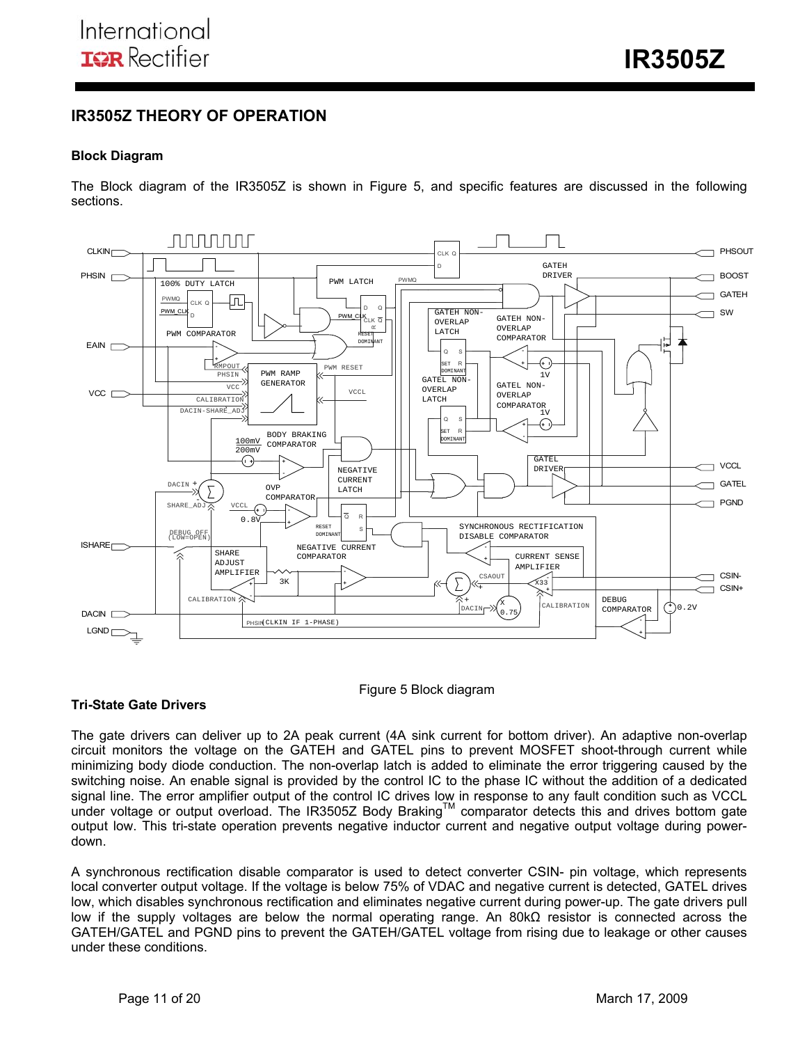## **IR3505Z THEORY OF OPERATION**

## **Block Diagram**

The Block diagram of the IR3505Z is shown in Figure 5, and specific features are discussed in the following sections.



### Figure 5 Block diagram

### **Tri-State Gate Drivers**

The gate drivers can deliver up to 2A peak current (4A sink current for bottom driver). An adaptive non-overlap circuit monitors the voltage on the GATEH and GATEL pins to prevent MOSFET shoot-through current while minimizing body diode conduction. The non-overlap latch is added to eliminate the error triggering caused by the switching noise. An enable signal is provided by the control IC to the phase IC without the addition of a dedicated signal line. The error amplifier output of the control IC drives low in response to any fault condition such as VCCL under voltage or output overload. The IR3505Z Body Braking™ comparator detects this and drives bottom gate output low. This tri-state operation prevents negative inductor current and negative output voltage during powerdown.

A synchronous rectification disable comparator is used to detect converter CSIN- pin voltage, which represents local converter output voltage. If the voltage is below 75% of VDAC and negative current is detected, GATEL drives low, which disables synchronous rectification and eliminates negative current during power-up. The gate drivers pull low if the supply voltages are below the normal operating range. An 80kΩ resistor is connected across the GATEH/GATEL and PGND pins to prevent the GATEH/GATEL voltage from rising due to leakage or other causes under these conditions.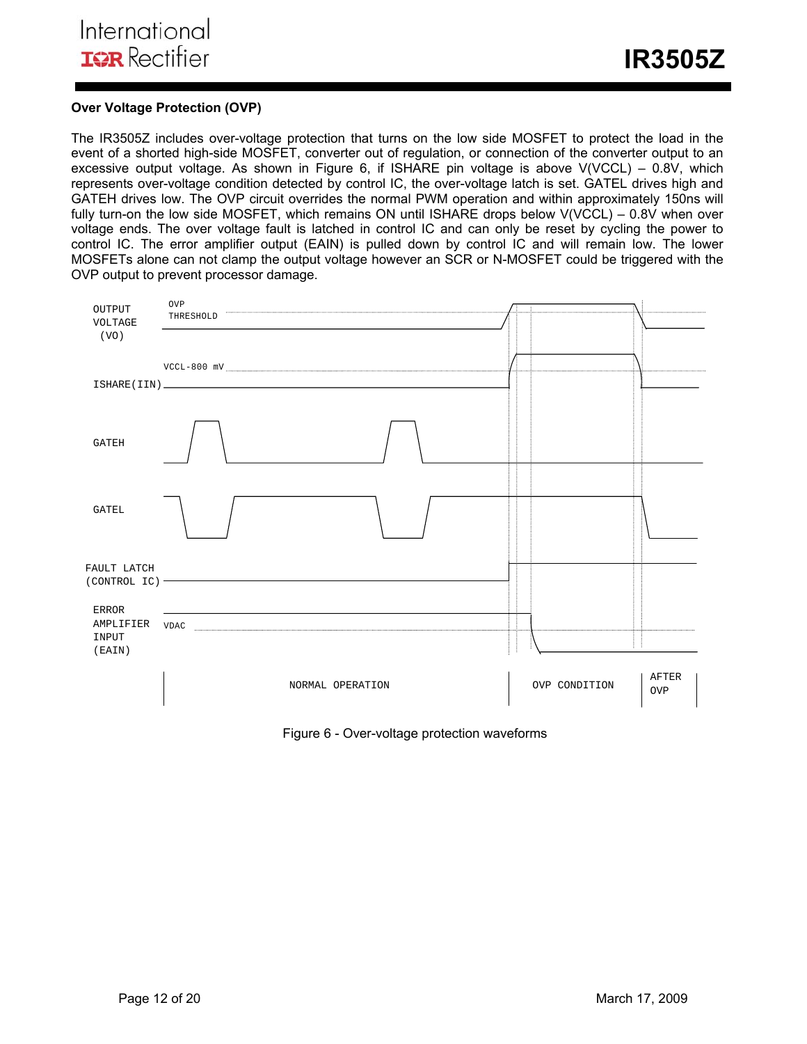## **Over Voltage Protection (OVP)**

The IR3505Z includes over-voltage protection that turns on the low side MOSFET to protect the load in the event of a shorted high-side MOSFET, converter out of regulation, or connection of the converter output to an excessive output voltage. As shown in Figure 6, if ISHARE pin voltage is above V(VCCL) – 0.8V, which represents over-voltage condition detected by control IC, the over-voltage latch is set. GATEL drives high and GATEH drives low. The OVP circuit overrides the normal PWM operation and within approximately 150ns will fully turn-on the low side MOSFET, which remains ON until ISHARE drops below V(VCCL) – 0.8V when over voltage ends. The over voltage fault is latched in control IC and can only be reset by cycling the power to control IC. The error amplifier output (EAIN) is pulled down by control IC and will remain low. The lower MOSFETs alone can not clamp the output voltage however an SCR or N-MOSFET could be triggered with the OVP output to prevent processor damage.



Figure 6 - Over-voltage protection waveforms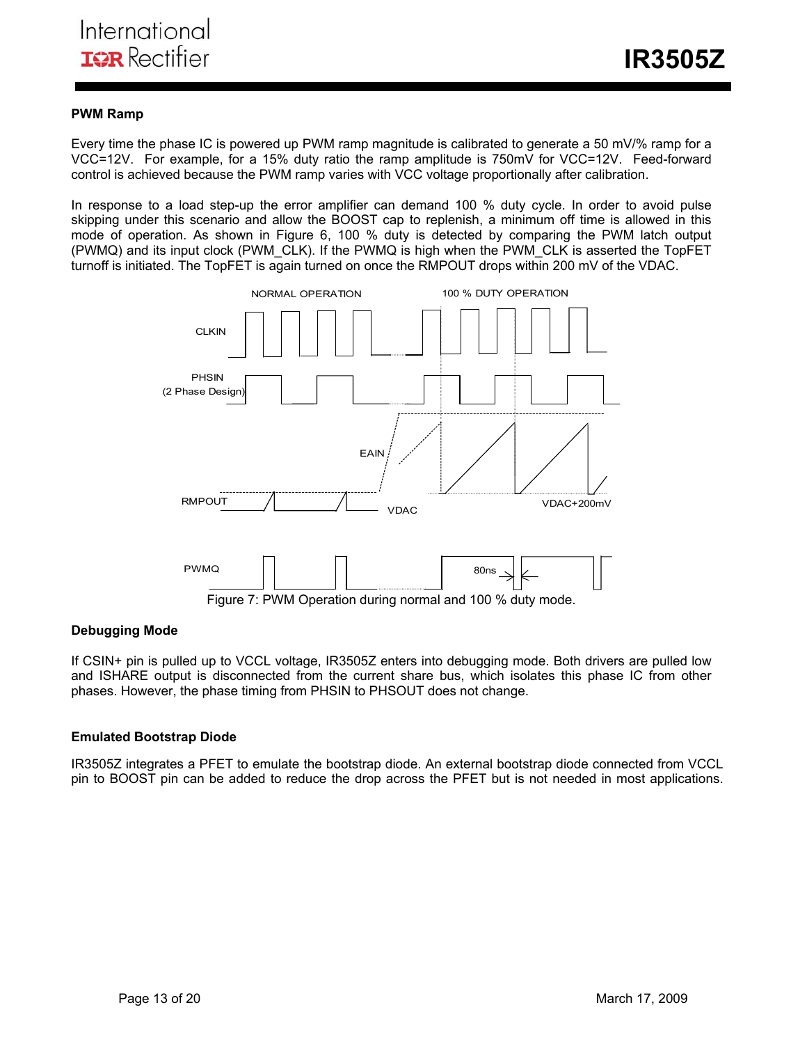### **PWM Ramp**

Every time the phase IC is powered up PWM ramp magnitude is calibrated to generate a 50 mV/% ramp for a VCC=12V. For example, for a 15% duty ratio the ramp amplitude is 750mV for VCC=12V. Feed-forward control is achieved because the PWM ramp varies with VCC voltage proportionally after calibration.

In response to a load step-up the error amplifier can demand 100 % duty cycle. In order to avoid pulse skipping under this scenario and allow the BOOST cap to replenish, a minimum off time is allowed in this mode of operation. As shown in Figure 6, 100 % duty is detected by comparing the PWM latch output (PWMQ) and its input clock (PWM\_CLK). If the PWMQ is high when the PWM\_CLK is asserted the TopFET turnoff is initiated. The TopFET is again turned on once the RMPOUT drops within 200 mV of the VDAC.



### **Debugging Mode**

If CSIN+ pin is pulled up to VCCL voltage, IR3505Z enters into debugging mode. Both drivers are pulled low and ISHARE output is disconnected from the current share bus, which isolates this phase IC from other phases. However, the phase timing from PHSIN to PHSOUT does not change.

### **Emulated Bootstrap Diode**

IR3505Z integrates a PFET to emulate the bootstrap diode. An external bootstrap diode connected from VCCL pin to BOOST pin can be added to reduce the drop across the PFET but is not needed in most applications.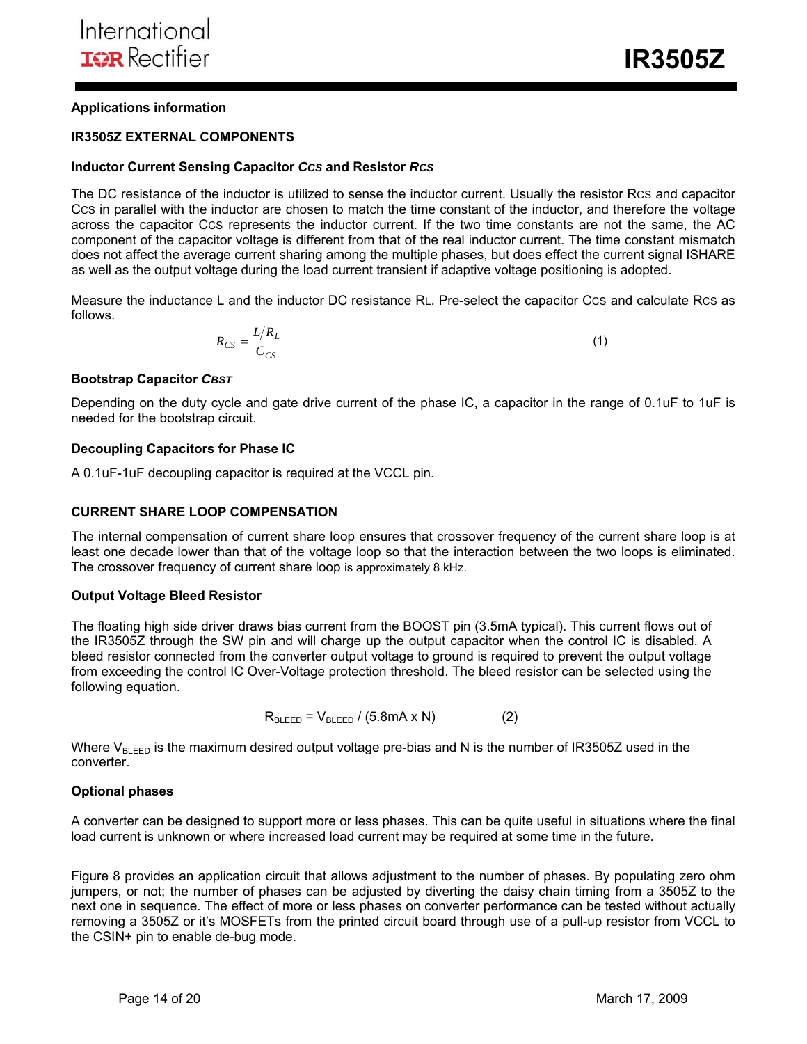**IR3505Z** 

### **Applications information**

#### **IR3505Z EXTERNAL COMPONENTS**

#### **Inductor Current Sensing Capacitor** *CCS* **and Resistor** *RCS*

The DC resistance of the inductor is utilized to sense the inductor current. Usually the resistor RCS and capacitor CCS in parallel with the inductor are chosen to match the time constant of the inductor, and therefore the voltage across the capacitor CCS represents the inductor current. If the two time constants are not the same, the AC component of the capacitor voltage is different from that of the real inductor current. The time constant mismatch does not affect the average current sharing among the multiple phases, but does effect the current signal ISHARE as well as the output voltage during the load current transient if adaptive voltage positioning is adopted.

Measure the inductance L and the inductor DC resistance RL. Pre-select the capacitor CCS and calculate RCS as follows.

$$
R_{CS} = \frac{L/R_L}{C_{CS}}\tag{1}
$$

#### **Bootstrap Capacitor** *CBST*

Depending on the duty cycle and gate drive current of the phase IC, a capacitor in the range of 0.1uF to 1uF is needed for the bootstrap circuit.

#### **Decoupling Capacitors for Phase IC**

A 0.1uF-1uF decoupling capacitor is required at the VCCL pin.

#### **CURRENT SHARE LOOP COMPENSATION**

The internal compensation of current share loop ensures that crossover frequency of the current share loop is at least one decade lower than that of the voltage loop so that the interaction between the two loops is eliminated. The crossover frequency of current share loop is approximately 8 kHz.

#### **Output Voltage Bleed Resistor**

The floating high side driver draws bias current from the BOOST pin (3.5mA typical). This current flows out of the IR3505Z through the SW pin and will charge up the output capacitor when the control IC is disabled. A bleed resistor connected from the converter output voltage to ground is required to prevent the output voltage from exceeding the control IC Over-Voltage protection threshold. The bleed resistor can be selected using the following equation.

$$
R_{BLEED} = V_{BLEED} / (5.8mA \times N)
$$
 (2)

Where  $V_{BLEED}$  is the maximum desired output voltage pre-bias and N is the number of IR3505Z used in the converter.

#### **Optional phases**

A converter can be designed to support more or less phases. This can be quite useful in situations where the final load current is unknown or where increased load current may be required at some time in the future.

Figure 8 provides an application circuit that allows adjustment to the number of phases. By populating zero ohm jumpers, or not; the number of phases can be adjusted by diverting the daisy chain timing from a 3505Z to the next one in sequence. The effect of more or less phases on converter performance can be tested without actually removing a 3505Z or it's MOSFETs from the printed circuit board through use of a pull-up resistor from VCCL to the CSIN+ pin to enable de-bug mode.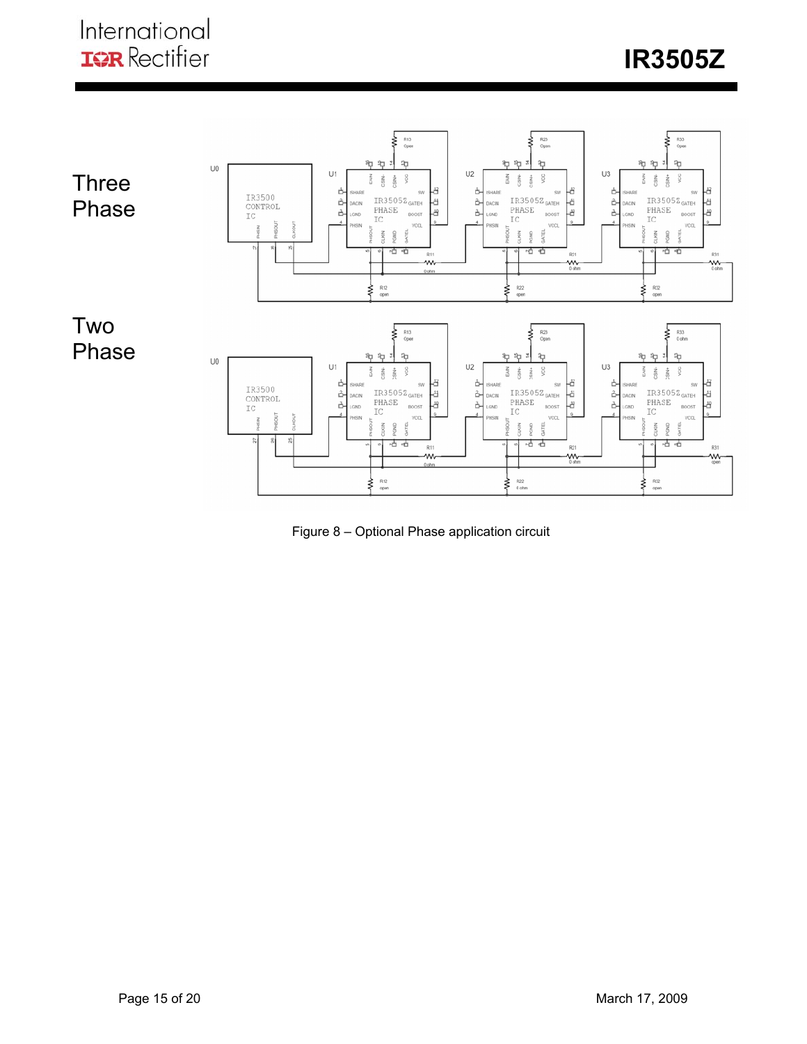

Figure 8 – Optional Phase application circuit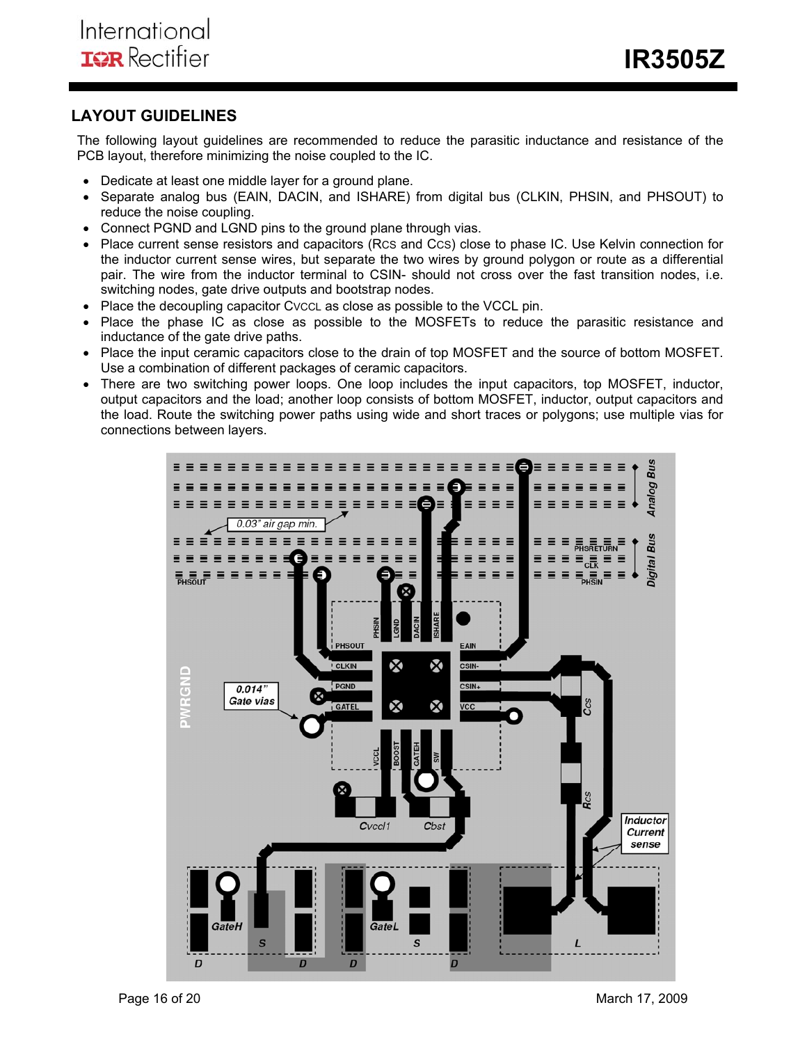## **LAYOUT GUIDELINES**

The following layout guidelines are recommended to reduce the parasitic inductance and resistance of the PCB layout, therefore minimizing the noise coupled to the IC.

- Dedicate at least one middle layer for a ground plane.
- Separate analog bus (EAIN, DACIN, and ISHARE) from digital bus (CLKIN, PHSIN, and PHSOUT) to reduce the noise coupling.
- Connect PGND and LGND pins to the ground plane through vias.
- Place current sense resistors and capacitors (RCS and CCS) close to phase IC. Use Kelvin connection for the inductor current sense wires, but separate the two wires by ground polygon or route as a differential pair. The wire from the inductor terminal to CSIN- should not cross over the fast transition nodes, i.e. switching nodes, gate drive outputs and bootstrap nodes.
- Place the decoupling capacitor CVCCL as close as possible to the VCCL pin.
- Place the phase IC as close as possible to the MOSFETs to reduce the parasitic resistance and inductance of the gate drive paths.
- Place the input ceramic capacitors close to the drain of top MOSFET and the source of bottom MOSFET. Use a combination of different packages of ceramic capacitors.
- There are two switching power loops. One loop includes the input capacitors, top MOSFET, inductor, output capacitors and the load; another loop consists of bottom MOSFET, inductor, output capacitors and the load. Route the switching power paths using wide and short traces or polygons; use multiple vias for connections between layers.

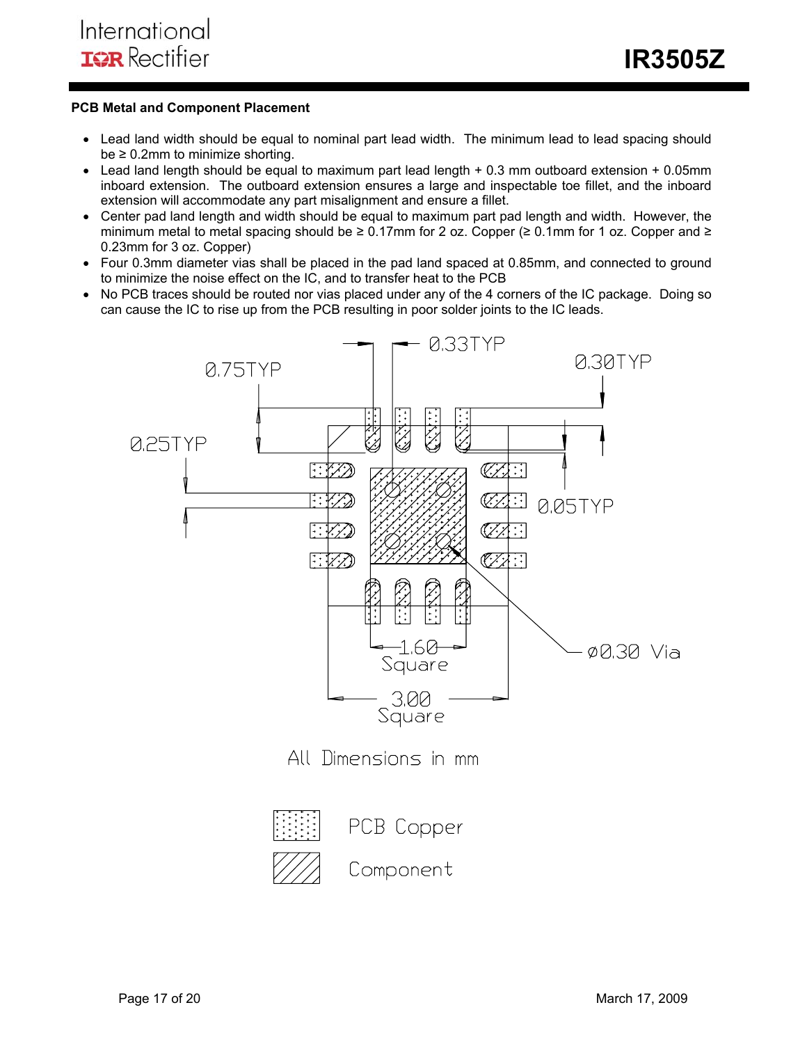## **PCB Metal and Component Placement**

- Lead land width should be equal to nominal part lead width. The minimum lead to lead spacing should  $be \geq 0.2$ mm to minimize shorting.
- Lead land length should be equal to maximum part lead length + 0.3 mm outboard extension + 0.05mm inboard extension. The outboard extension ensures a large and inspectable toe fillet, and the inboard extension will accommodate any part misalignment and ensure a fillet.
- Center pad land length and width should be equal to maximum part pad length and width. However, the minimum metal to metal spacing should be  $\geq 0.17$ mm for 2 oz. Copper ( $\geq 0.1$ mm for 1 oz. Copper and  $\geq$ 0.23mm for 3 oz. Copper)
- Four 0.3mm diameter vias shall be placed in the pad land spaced at 0.85mm, and connected to ground to minimize the noise effect on the IC, and to transfer heat to the PCB
- No PCB traces should be routed nor vias placed under any of the 4 corners of the IC package. Doing so can cause the IC to rise up from the PCB resulting in poor solder joints to the IC leads.

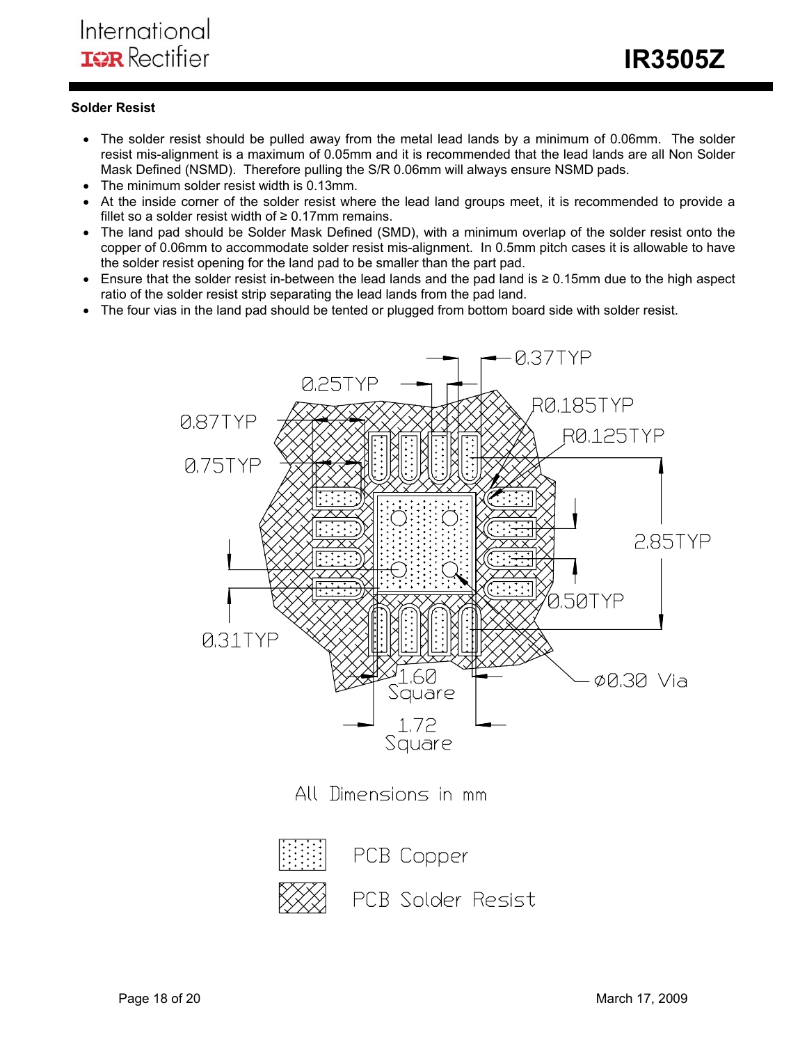## **Solder Resist**

- The solder resist should be pulled away from the metal lead lands by a minimum of 0.06mm. The solder resist mis-alignment is a maximum of 0.05mm and it is recommended that the lead lands are all Non Solder Mask Defined (NSMD). Therefore pulling the S/R 0.06mm will always ensure NSMD pads.
- The minimum solder resist width is 0.13mm.
- At the inside corner of the solder resist where the lead land groups meet, it is recommended to provide a fillet so a solder resist width of  $\geq 0.17$ mm remains.
- The land pad should be Solder Mask Defined (SMD), with a minimum overlap of the solder resist onto the copper of 0.06mm to accommodate solder resist mis-alignment. In 0.5mm pitch cases it is allowable to have the solder resist opening for the land pad to be smaller than the part pad.
- Ensure that the solder resist in-between the lead lands and the pad land is ≥ 0.15mm due to the high aspect ratio of the solder resist strip separating the lead lands from the pad land.
- The four vias in the land pad should be tented or plugged from bottom board side with solder resist.





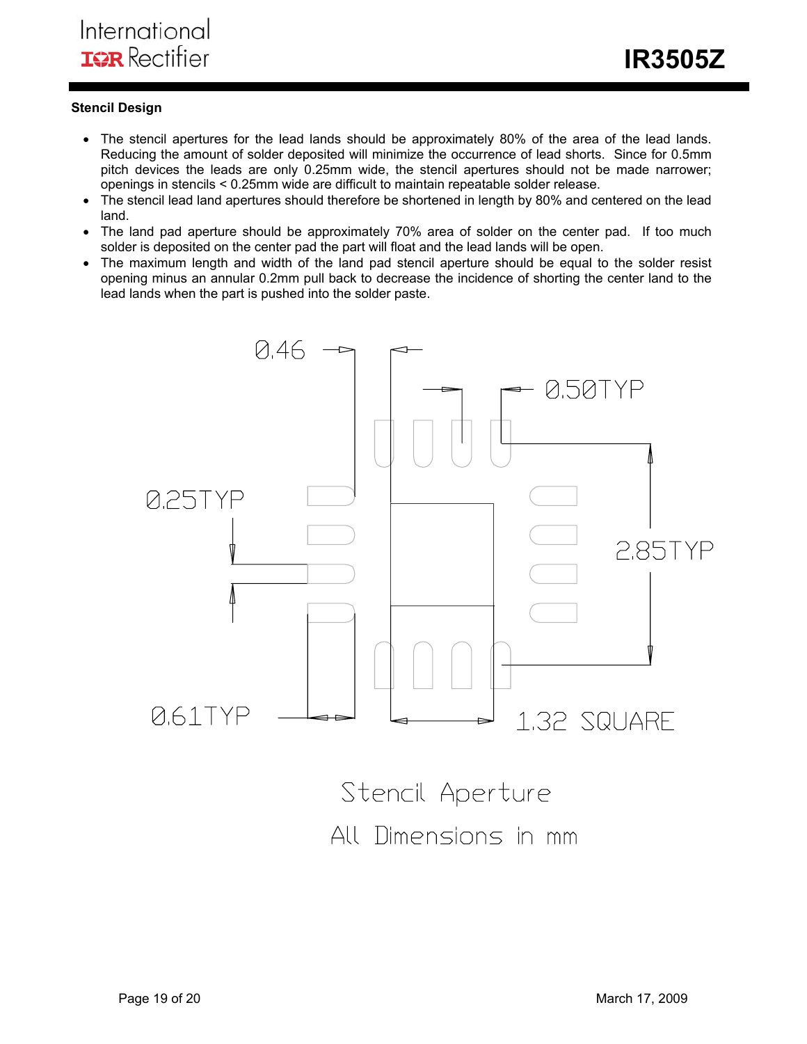## **Stencil Design**

- The stencil apertures for the lead lands should be approximately 80% of the area of the lead lands. Reducing the amount of solder deposited will minimize the occurrence of lead shorts. Since for 0.5mm pitch devices the leads are only 0.25mm wide, the stencil apertures should not be made narrower; openings in stencils < 0.25mm wide are difficult to maintain repeatable solder release.
- The stencil lead land apertures should therefore be shortened in length by 80% and centered on the lead land.
- The land pad aperture should be approximately 70% area of solder on the center pad. If too much solder is deposited on the center pad the part will float and the lead lands will be open.
- The maximum length and width of the land pad stencil aperture should be equal to the solder resist opening minus an annular 0.2mm pull back to decrease the incidence of shorting the center land to the lead lands when the part is pushed into the solder paste.



All Dimensions in mm